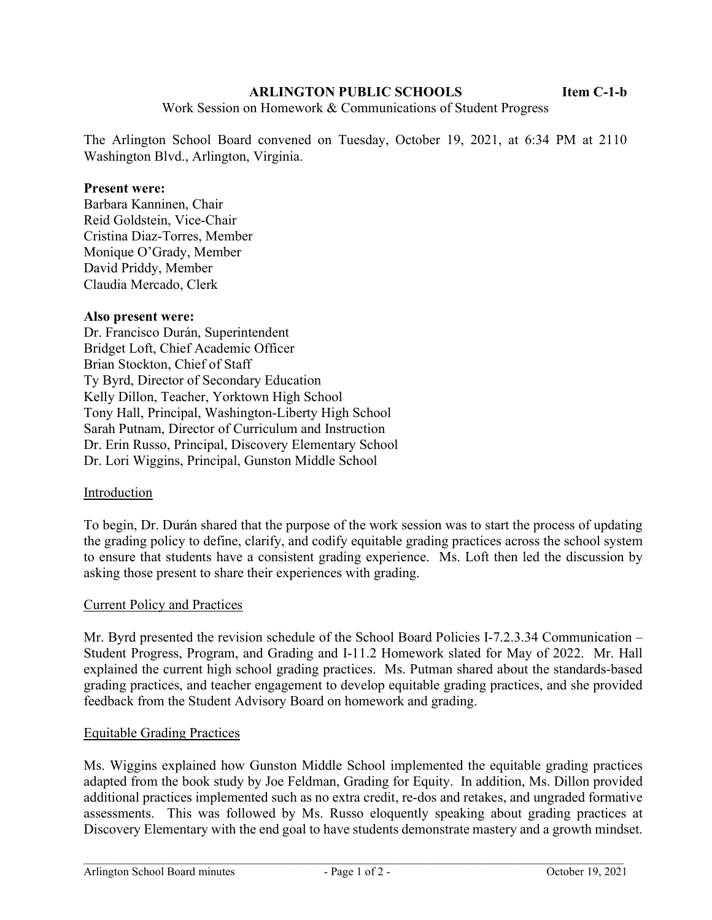## ARLINGTON PUBLIC SCHOOLS **Item C-1-b**

Work Session on Homework & Communications of Student Progress

The Arlington School Board convened on Tuesday, October 19, 2021, at 6:34 PM at 2110 Washington Blvd., Arlington, Virginia.

## Present were:

Barbara Kanninen, Chair Reid Goldstein, Vice-Chair Cristina Diaz-Torres, Member Monique O'Grady, Member David Priddy, Member Claudia Mercado, Clerk

### Also present were:

Dr. Francisco Durán, Superintendent Bridget Loft, Chief Academic Officer Brian Stockton, Chief of Staff Ty Byrd, Director of Secondary Education Kelly Dillon, Teacher, Yorktown High School Tony Hall, Principal, Washington-Liberty High School Sarah Putnam, Director of Curriculum and Instruction Dr. Erin Russo, Principal, Discovery Elementary School Dr. Lori Wiggins, Principal, Gunston Middle School

## Introduction

To begin, Dr. Durán shared that the purpose of the work session was to start the process of updating the grading policy to define, clarify, and codify equitable grading practices across the school system to ensure that students have a consistent grading experience. Ms. Loft then led the discussion by asking those present to share their experiences with grading.

#### Current Policy and Practices

Mr. Byrd presented the revision schedule of the School Board Policies I-7.2.3.34 Communication – Student Progress, Program, and Grading and I-11.2 Homework slated for May of 2022. Mr. Hall explained the current high school grading practices. Ms. Putman shared about the standards-based grading practices, and teacher engagement to develop equitable grading practices, and she provided feedback from the Student Advisory Board on homework and grading.

#### Equitable Grading Practices

Ms. Wiggins explained how Gunston Middle School implemented the equitable grading practices adapted from the book study by Joe Feldman, Grading for Equity. In addition, Ms. Dillon provided additional practices implemented such as no extra credit, re-dos and retakes, and ungraded formative assessments. This was followed by Ms. Russo eloquently speaking about grading practices at Discovery Elementary with the end goal to have students demonstrate mastery and a growth mindset.